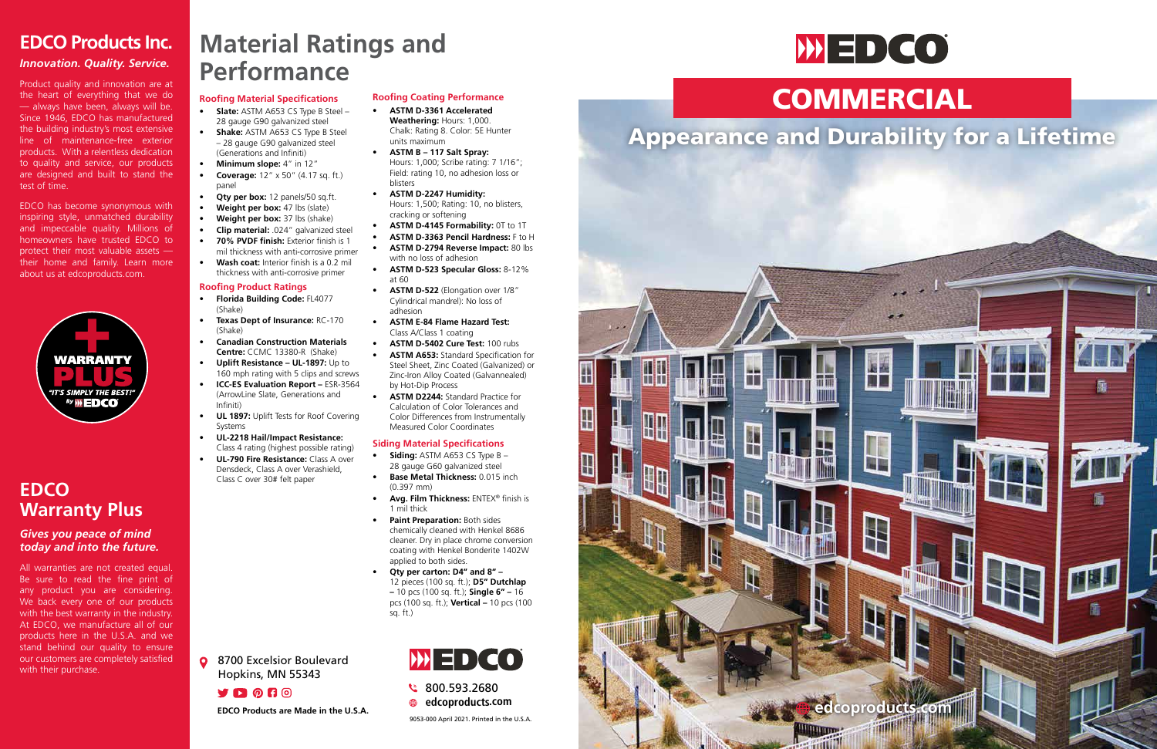

— always have been, always will be.<br>Since 1946, EDCO has manufactured the building industry's most extensive<br>line of maintenance-free exterior products. With a relentless dedication<br>to quality and service, our products are designed and built to stand the<br>test of time Product quality and innovation are at the heart of everything that we do — always have been, always will be. the building industry's most extensive to quality and service, our products test of time.

inspiring style, unmatched durability and impeccable quality. Millions of nomeowners have trusted EDCO to proceed their most valuable assets about us at edcoproducts.com. EDCO has become synonymous with homeowners have trusted EDCO to

### **EDCO Products Inc.**

### *Innovation. Quality. Service.*

### **EDCO Warranty Plus**

### *Gives you peace of mind today and into the future.*

All warranties are not created equal. Be sure to read the fine print of any product you are considering. We back every one of our products with the best warranty in the industry. At EDCO, we manufacture all of our products here in the U.S.A. and we stand behind our quality to ensure our customers are completely satisfied with their purchase.

# **Material Ratings and Performance**

### **Roofing Material Specifications**

- **• Slate:** ASTM A653 CS Type B Steel 28 gauge G90 galvanized steel
- **• Shake:** ASTM A653 CS Type B Steel – 28 gauge G90 galvanized steel (Generations and Infiniti)
- **• Minimum slope:** 4" in 12"
- **• Coverage:** 12" x 50" (4.17 sq. ft.) panel
- **Qty per box:** 12 panels/50 sq.ft.
- **• Weight per box:** 47 lbs (slate)
- **• Weight per box:** 37 lbs (shake)
- **• Clip material:** .024" galvanized steel **• 70% PVDF finish:** Exterior finish is 1
- mil thickness with anti-corrosive primer
- **• Wash coat:** Interior finish is a 0.2 mil thickness with anti-corrosive primer

**Q** 8700 Excelsior Boulevard Hopkins, MN 55343

**YDOHO** 



### **Roofing Product Ratings**

### **Roofing Coating Performance**

- **• Florida Building Code:** FL4077 (Shake)
- **• Texas Dept of Insurance:** RC-170 (Shake)
- **• Canadian Construction Materials Centre:** CCMC 13380-R (Shake)
- **• Uplift Resistance UL-1897:** Up to 160 mph rating with 5 clips and screws
- **• ICC-ES Evaluation Report –** ESR-3564 (ArrowLine Slate, Generations and Infiniti)
- **• UL 1897:** Uplift Tests for Roof Covering Systems
- **• UL-2218 Hail/Impact Resistance:**  Class 4 rating (highest possible rating)
- **• UL-790 Fire Resistance:** Class A over Densdeck, Class A over Verashield, Class C over 30# felt paper
- **• Avg. Film Thickness:** ENTEX® finish is 1 mil thick
- **• Paint Preparation:** Both sides chemically cleaned with Henkel 8686 cleaner. Dry in place chrome conversion coating with Henkel Bonderite 1402W applied to both sides.
- **• Qty per carton: D4" and 8"**  12 pieces (100 sq. ft.); **D5" Dutchlap –** 10 pcs (100 sq. ft.); **Single 6" –** 16 pcs (100 sq. ft.); **Vertical –** 10 pcs (100 sq. ft.)



- **• ASTM D-3361 Accelerated Weathering:** Hours: 1,000. Chalk: Rating 8. Color: 5E Hunter units maximum
- **• ASTM B 117 Salt Spray:**  Hours: 1,000; Scribe rating: 7 1/16"; Field: rating 10, no adhesion loss or blisters
- **• ASTM D-2247 Humidity:** Hours: 1,500; Rating: 10, no blisters, cracking or softening
- **• ASTM D-4145 Formability:** 0T to 1T
- **• ASTM D-3363 Pencil Hardness:** F to H **• ASTM D-2794 Reverse Impact:** 80 lbs with no loss of adhesion
- **• ASTM D-523 Specular Gloss:** 8-12% at 60
- **• ASTM D-522** (Elongation over 1/8" Cylindrical mandrel): No loss of adhesion
- **• ASTM E-84 Flame Hazard Test:**  Class A/Class 1 coating
- **• ASTM D-5402 Cure Test:** 100 rubs
- **• ASTM A653:** Standard Specification for Steel Sheet, Zinc Coated (Galvanized) or Zinc-Iron Alloy Coated (Galvannealed) by Hot-Dip Process
- **• ASTM D2244:** Standard Practice for Calculation of Color Tolerances and Color Differences from Instrumentally Measured Color Coordinates

### **Siding Material Specifications**

- **• Siding:** ASTM A653 CS Type B 28 gauge G60 galvanized steel
- **• Base Metal Thickness:** 0.015 inch (0.397 mm)
- 
- 
- 



800.593.2680 **edcoproducts.com**

9053-000 April 2021. Printed in the U.S.A.



# COMMERCIAL

## Appearance and Durability for a Lifetime